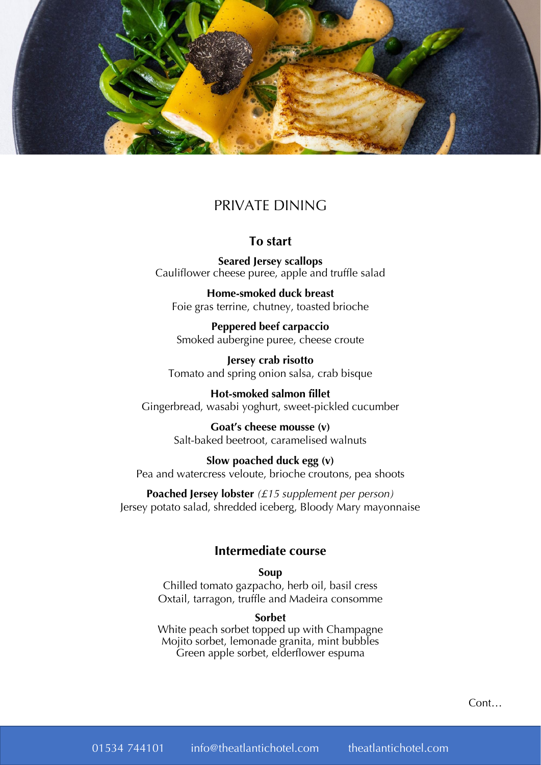

# PRIVATE DINING

### **To start**

**Seared Jersey scallops** Cauliflower cheese puree, apple and truffle salad

**Home-smoked duck breast** Foie gras terrine, chutney, toasted brioche

**Peppered beef carpaccio** Smoked aubergine puree, cheese croute

**Jersey crab risotto** Tomato and spring onion salsa, crab bisque

**Hot-smoked salmon fillet** Gingerbread, wasabi yoghurt, sweet-pickled cucumber

> **Goat's cheese mousse (v)** Salt-baked beetroot, caramelised walnuts

**Slow poached duck egg (v)** Pea and watercress veloute, brioche croutons, pea shoots

**Poached Jersey lobster** *(£15 supplement per person)* Jersey potato salad, shredded iceberg, Bloody Mary mayonnaise

### **Intermediate course**

### **Soup**

Chilled tomato gazpacho, herb oil, basil cress Oxtail, tarragon, truffle and Madeira consomme

#### **Sorbet**

White peach sorbet topped up with Champagne Mojito sorbet, lemonade granita, mint bubbles Green apple sorbet, elderflower espuma

Cont…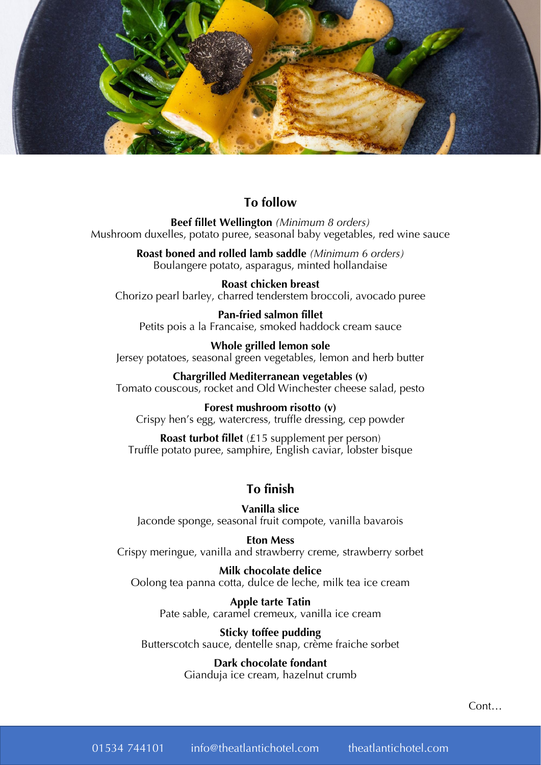

# **To follow**

**Beef fillet Wellington** *(Minimum 8 orders)* Mushroom duxelles, potato puree, seasonal baby vegetables, red wine sauce

> **Roast boned and rolled lamb saddle** *(Minimum 6 orders)* Boulangere potato, asparagus, minted hollandaise

**Roast chicken breast** Chorizo pearl barley, charred tenderstem broccoli, avocado puree

**Pan-fried salmon fillet** Petits pois a la Francaise, smoked haddock cream sauce

**Whole grilled lemon sole** Jersey potatoes, seasonal green vegetables, lemon and herb butter

**Chargrilled Mediterranean vegetables (v)** Tomato couscous, rocket and Old Winchester cheese salad, pesto

**Forest mushroom risotto (v)** Crispy hen's egg, watercress, truffle dressing, cep powder

**Roast turbot fillet** (£15 supplement per person) Truffle potato puree, samphire, English caviar, lobster bisque

# **To finish**

**Vanilla slice** Jaconde sponge, seasonal fruit compote, vanilla bavarois

**Eton Mess** Crispy meringue, vanilla and strawberry creme, strawberry sorbet

**Milk chocolate delice** Oolong tea panna cotta, dulce de leche, milk tea ice cream

> **Apple tarte Tatin** Pate sable, caramel cremeux, vanilla ice cream

**Sticky toffee pudding** Butterscotch sauce, dentelle snap, crème fraiche sorbet

> **Dark chocolate fondant** Gianduja ice cream, hazelnut crumb

> > Cont…